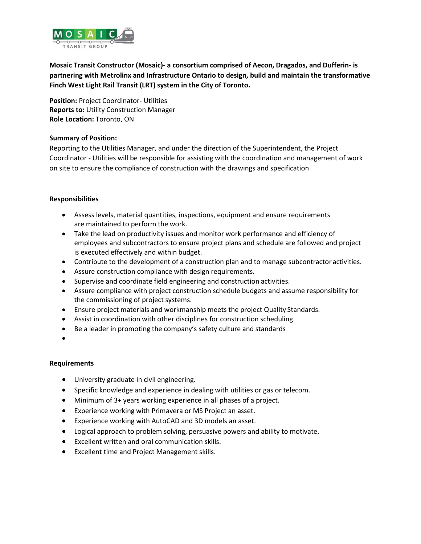

**Mosaic Transit Constructor (Mosaic)- a consortium comprised of Aecon, Dragados, and Dufferin- is partnering with Metrolinx and Infrastructure Ontario to design, build and maintain the transformative Finch West Light Rail Transit (LRT) system in the City of Toronto.**

**Position:** Project Coordinator- Utilities **Reports to:** Utility Construction Manager **Role Location:** Toronto, ON

## **Summary of Position:**

Reporting to the Utilities Manager, and under the direction of the Superintendent, the Project Coordinator - Utilities will be responsible for assisting with the coordination and management of work on site to ensure the compliance of construction with the drawings and specification

## **Responsibilities**

- Assess levels, material quantities, inspections, equipment and ensure requirements are maintained to perform the work.
- Take the lead on productivity issues and monitor work performance and efficiency of employees and subcontractors to ensure project plans and schedule are followed and project is executed effectively and within budget.
- Contribute to the development of a construction plan and to manage subcontractor activities.
- Assure construction compliance with design requirements.
- Supervise and coordinate field engineering and construction activities.
- Assure compliance with project construction schedule budgets and assume responsibility for the commissioning of project systems.
- Ensure project materials and workmanship meets the project Quality Standards.
- Assist in coordination with other disciplines for construction scheduling.
- Be a leader in promoting the company's safety culture and standards
- •

## **Requirements**

- University graduate in civil engineering.
- Specific knowledge and experience in dealing with utilities or gas or telecom.
- Minimum of 3+ years working experience in all phases of a project.
- Experience working with Primavera or MS Project an asset.
- Experience working with AutoCAD and 3D models an asset.
- Logical approach to problem solving, persuasive powers and ability to motivate.
- Excellent written and oral communication skills.
- Excellent time and Project Management skills.